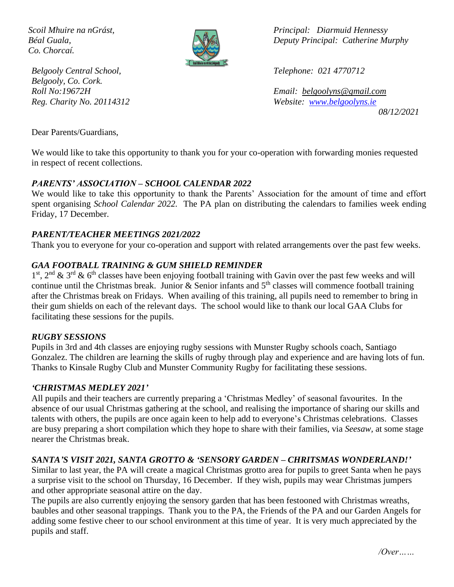*Co. Chorcaí.*



*Belgooly Central School, Telephone: 021 4770712 Belgooly, Co. Cork.*

*Scoil Mhuire na nGrást, Principal: Diarmuid Hennessy Béal Guala, Deputy Principal: Catherine Murphy*

*Roll No:19672H Email: [belgoolyns@gmail.com](mailto:belgoolyns@gmail.com) Reg. Charity No. 20114312 Website: [www.belgoolyns.ie](http://www.belgoolyns.ie/)*

*08/12/2021*

Dear Parents/Guardians,

We would like to take this opportunity to thank you for your co-operation with forwarding monies requested in respect of recent collections.

### *PARENTS' ASSOCIATION – SCHOOL CALENDAR 2022*

We would like to take this opportunity to thank the Parents' Association for the amount of time and effort spent organising *School Calendar 2022.* The PA plan on distributing the calendars to families week ending Friday, 17 December.

### *PARENT/TEACHER MEETINGS 2021/2022*

Thank you to everyone for your co-operation and support with related arrangements over the past few weeks.

### *GAA FOOTBALL TRAINING & GUM SHIELD REMINDER*

 $1<sup>st</sup>$ ,  $2<sup>nd</sup>$  &  $3<sup>rd</sup>$  &  $6<sup>th</sup>$  classes have been enjoying football training with Gavin over the past few weeks and will continue until the Christmas break. Junior  $\&$  Senior infants and  $5<sup>th</sup>$  classes will commence football training after the Christmas break on Fridays. When availing of this training, all pupils need to remember to bring in their gum shields on each of the relevant days. The school would like to thank our local GAA Clubs for facilitating these sessions for the pupils.

#### *RUGBY SESSIONS*

Pupils in 3rd and 4th classes are enjoying rugby sessions with Munster Rugby schools coach, Santiago Gonzalez. The children are learning the skills of rugby through play and experience and are having lots of fun. Thanks to Kinsale Rugby Club and Munster Community Rugby for facilitating these sessions.

#### *'CHRISTMAS MEDLEY 2021'*

All pupils and their teachers are currently preparing a 'Christmas Medley' of seasonal favourites. In the absence of our usual Christmas gathering at the school, and realising the importance of sharing our skills and talents with others, the pupils are once again keen to help add to everyone's Christmas celebrations. Classes are busy preparing a short compilation which they hope to share with their families, via *Seesaw,* at some stage nearer the Christmas break.

#### *SANTA'S VISIT 2021, SANTA GROTTO & 'SENSORY GARDEN – CHRITSMAS WONDERLAND!'*

Similar to last year, the PA will create a magical Christmas grotto area for pupils to greet Santa when he pays a surprise visit to the school on Thursday, 16 December. If they wish, pupils may wear Christmas jumpers and other appropriate seasonal attire on the day.

The pupils are also currently enjoying the sensory garden that has been festooned with Christmas wreaths, baubles and other seasonal trappings. Thank you to the PA, the Friends of the PA and our Garden Angels for adding some festive cheer to our school environment at this time of year. It is very much appreciated by the pupils and staff.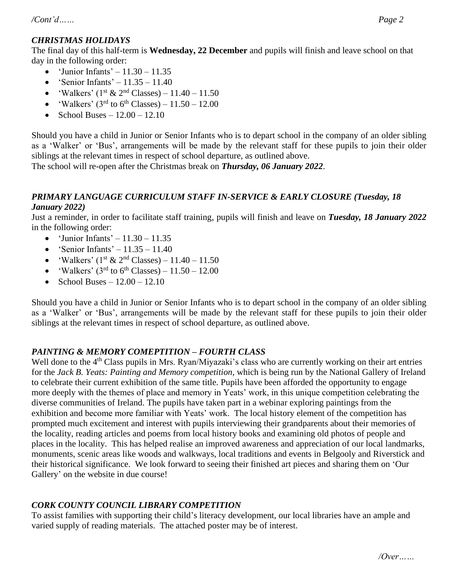# *CHRISTMAS HOLIDAYS*

The final day of this half-term is **Wednesday, 22 December** and pupils will finish and leave school on that day in the following order:

- 'Junior Infants'  $11.30 11.35$
- 'Senior Infants'  $11.35 11.40$
- 'Walkers' ( $1^{\text{st}}$  &  $2^{\text{nd}}$  Classes) 11.40 11.50
- 'Walkers' ( $3<sup>rd</sup>$  to  $6<sup>th</sup>$  Classes) 11.50 12.00
- School Buses  $-12.00 12.10$

Should you have a child in Junior or Senior Infants who is to depart school in the company of an older sibling as a 'Walker' or 'Bus', arrangements will be made by the relevant staff for these pupils to join their older siblings at the relevant times in respect of school departure, as outlined above.

The school will re-open after the Christmas break on *Thursday, 06 January 2022*.

#### *PRIMARY LANGUAGE CURRICULUM STAFF IN-SERVICE & EARLY CLOSURE (Tuesday, 18 January 2022)*

Just a reminder, in order to facilitate staff training, pupils will finish and leave on *Tuesday, 18 January 2022* in the following order:

- 'Junior Infants'  $11.30 11.35$
- 'Senior Infants'  $11.35 11.40$
- 'Walkers' ( $1^{\text{st}}$  &  $2^{\text{nd}}$  Classes)  $11.40 11.50$
- 'Walkers' ( $3<sup>rd</sup>$  to  $6<sup>th</sup>$  Classes) 11.50 12.00
- School Buses  $-12.00 12.10$

Should you have a child in Junior or Senior Infants who is to depart school in the company of an older sibling as a 'Walker' or 'Bus', arrangements will be made by the relevant staff for these pupils to join their older siblings at the relevant times in respect of school departure, as outlined above.

## *PAINTING & MEMORY COMEPTITION – FOURTH CLASS*

Well done to the 4<sup>th</sup> Class pupils in Mrs. Ryan/Miyazaki's class who are currently working on their art entries for the *Jack B. Yeats: Painting and Memory competition*, which is being run by the National Gallery of Ireland to celebrate their current exhibition of the same title*.* Pupils have been afforded the opportunity to engage more deeply with the themes of place and memory in Yeats' work, in this unique competition celebrating the diverse communities of Ireland. The pupils have taken part in a webinar exploring paintings from the exhibition and become more familiar with Yeats' work. The local history element of the competition has prompted much excitement and interest with pupils interviewing their grandparents about their memories of the locality, reading articles and poems from local history books and examining old photos of people and places in the locality. This has helped realise an improved awareness and appreciation of our local landmarks, monuments, scenic areas like woods and walkways, local traditions and events in Belgooly and Riverstick and their historical significance. We look forward to seeing their finished art pieces and sharing them on 'Our Gallery' on the website in due course!

# *CORK COUNTY COUNCIL LIBRARY COMPETITION*

To assist families with supporting their child's literacy development, our local libraries have an ample and varied supply of reading materials. The attached poster may be of interest.